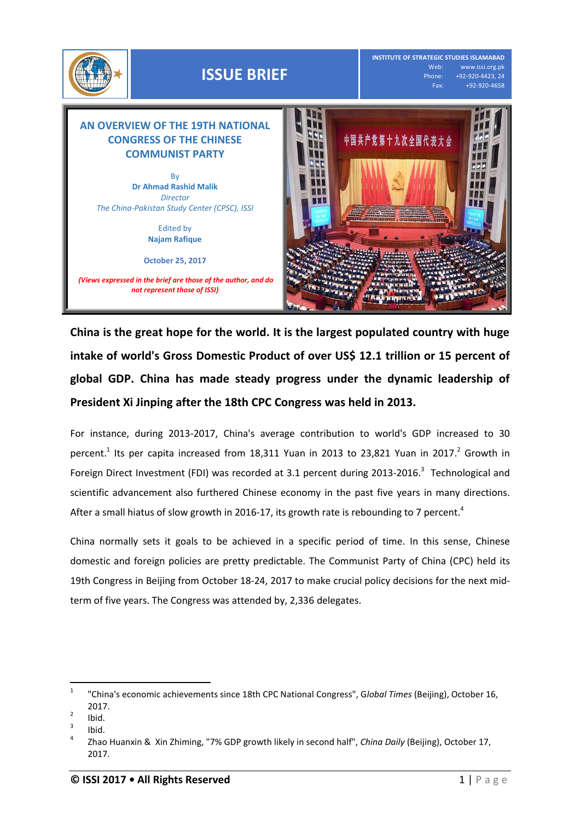

**China is the great hope for the world. It is the largest populated country with huge intake of world's Gross Domestic Product of over US\$ 12.1 trillion or 15 percent of global GDP. China has made steady progress under the dynamic leadership of President Xi Jinping after the 18th CPC Congress was held in 2013.** 

For instance, during 2013-2017, China's average contribution to world's GDP increased to 30 percent.<sup>1</sup> Its per capita increased from 18,311 Yuan in 2013 to 23,821 Yuan in 2017.<sup>2</sup> Growth in Foreign Direct Investment (FDI) was recorded at 3.1 percent during 2013-2016.<sup>3</sup> Technological and scientific advancement also furthered Chinese economy in the past five years in many directions. After a small hiatus of slow growth in 2016-17, its growth rate is rebounding to 7 percent.<sup>4</sup>

China normally sets it goals to be achieved in a specific period of time. In this sense, Chinese domestic and foreign policies are pretty predictable. The Communist Party of China (CPC) held its 19th Congress in Beijing from October 18-24, 2017 to make crucial policy decisions for the next midterm of five years. The Congress was attended by, 2,336 delegates.

 $\frac{1}{1}$ "China's economic achievements since 18th CPC National Congress", G*lobal Times* (Beijing), October 16, 2017.

<sup>2</sup> Ibid.

<sup>3</sup> Ibid.

<sup>4</sup> Zhao Huanxin & Xin Zhiming, "7% GDP growth likely in second half", *China Daily* (Beijing), October 17, 2017.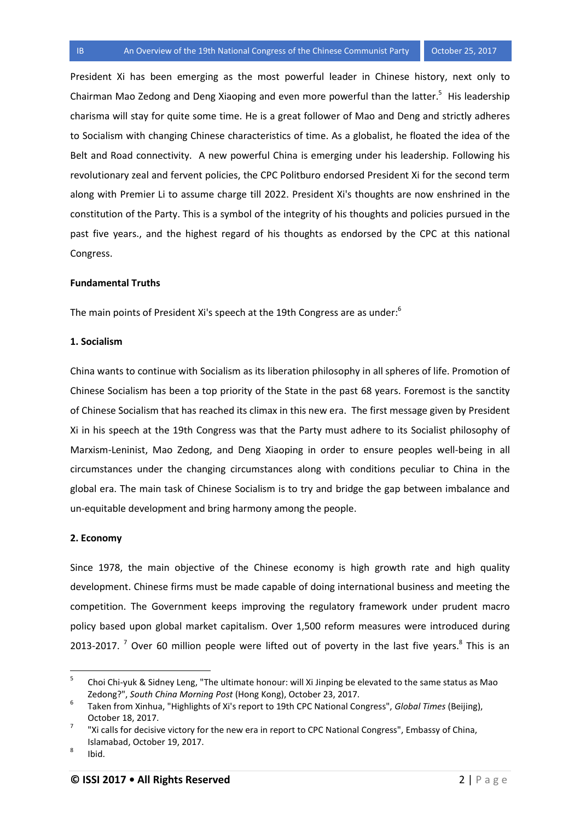President Xi has been emerging as the most powerful leader in Chinese history, next only to Chairman Mao Zedong and Deng Xiaoping and even more powerful than the latter.<sup>5</sup> His leadership charisma will stay for quite some time. He is a great follower of Mao and Deng and strictly adheres to Socialism with changing Chinese characteristics of time. As a globalist, he floated the idea of the Belt and Road connectivity. A new powerful China is emerging under his leadership. Following his revolutionary zeal and fervent policies, the CPC Politburo endorsed President Xi for the second term along with Premier Li to assume charge till 2022. President Xi's thoughts are now enshrined in the constitution of the Party. This is a symbol of the integrity of his thoughts and policies pursued in the past five years., and the highest regard of his thoughts as endorsed by the CPC at this national Congress.

# **Fundamental Truths**

The main points of President Xi's speech at the 19th Congress are as under: $^6$ 

### **1. Socialism**

China wants to continue with Socialism as its liberation philosophy in all spheres of life. Promotion of Chinese Socialism has been a top priority of the State in the past 68 years. Foremost is the sanctity of Chinese Socialism that has reached its climax in this new era. The first message given by President Xi in his speech at the 19th Congress was that the Party must adhere to its Socialist philosophy of Marxism-Leninist, Mao Zedong, and Deng Xiaoping in order to ensure peoples well-being in all circumstances under the changing circumstances along with conditions peculiar to China in the global era. The main task of Chinese Socialism is to try and bridge the gap between imbalance and un-equitable development and bring harmony among the people.

### **2. Economy**

Since 1978, the main objective of the Chinese economy is high growth rate and high quality development. Chinese firms must be made capable of doing international business and meeting the competition. The Government keeps improving the regulatory framework under prudent macro policy based upon global market capitalism. Over 1,500 reform measures were introduced during 2013-2017. <sup>7</sup> Over 60 million people were lifted out of poverty in the last five years. <sup>8</sup> This is an

 5 Choi Chi-yuk & Sidney Leng, "The ultimate honour: will Xi Jinping be elevated to the same status as Mao Zedong?", *South China Morning Post* (Hong Kong), October 23, 2017.

<sup>6</sup> Taken from Xinhua, "Highlights of Xi's report to 19th CPC National Congress", *Global Times* (Beijing), October 18, 2017.

<sup>7</sup> "Xi calls for decisive victory for the new era in report to CPC National Congress", Embassy of China, Islamabad, October 19, 2017.

<sup>8</sup> Ibid.